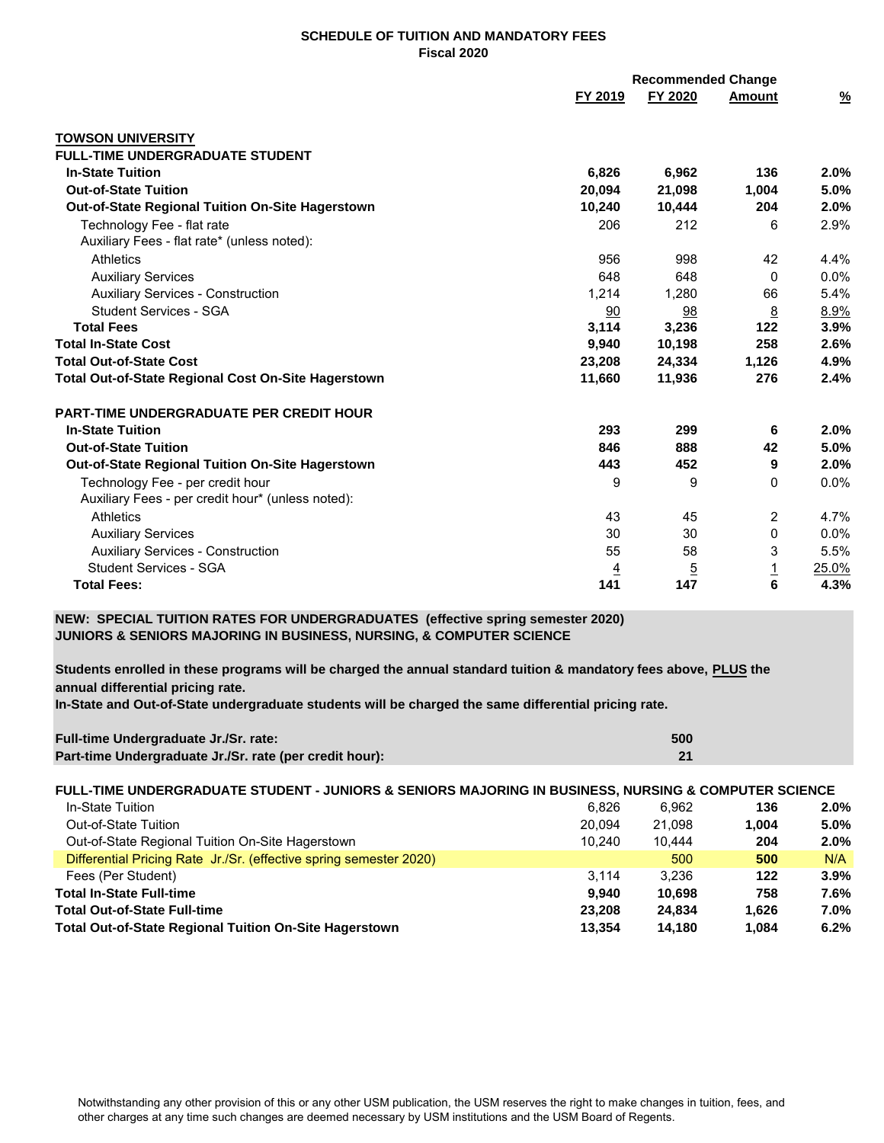## **SCHEDULE OF TUITION AND MANDATORY FEES Fiscal 2020**

|                                                         | <b>Recommended Change</b> |          |                |               |
|---------------------------------------------------------|---------------------------|----------|----------------|---------------|
|                                                         | FY 2019                   | FY 2020  | Amount         | $\frac{9}{6}$ |
| <b>TOWSON UNIVERSITY</b>                                |                           |          |                |               |
| <b>FULL-TIME UNDERGRADUATE STUDENT</b>                  |                           |          |                |               |
| <b>In-State Tuition</b>                                 | 6,826                     | 6,962    | 136            | 2.0%          |
| <b>Out-of-State Tuition</b>                             | 20,094                    | 21,098   | 1,004          | 5.0%          |
| <b>Out-of-State Regional Tuition On-Site Hagerstown</b> | 10,240                    | 10,444   | 204            | 2.0%          |
| Technology Fee - flat rate                              | 206                       | 212      | 6              | 2.9%          |
| Auxiliary Fees - flat rate* (unless noted):             |                           |          |                |               |
| <b>Athletics</b>                                        | 956                       | 998      | 42             | 4.4%          |
| <b>Auxiliary Services</b>                               | 648                       | 648      | $\mathbf{0}$   | 0.0%          |
| <b>Auxiliary Services - Construction</b>                | 1,214                     | 1,280    | 66             | 5.4%          |
| <b>Student Services - SGA</b>                           | 90                        | 98       | <u>8</u>       | 8.9%          |
| <b>Total Fees</b>                                       | 3,114                     | 3,236    | 122            | 3.9%          |
| <b>Total In-State Cost</b>                              | 9,940                     | 10,198   | 258            | 2.6%          |
| <b>Total Out-of-State Cost</b>                          | 23,208                    | 24,334   | 1,126          | 4.9%          |
| Total Out-of-State Regional Cost On-Site Hagerstown     | 11,660                    | 11,936   | 276            | 2.4%          |
| <b>PART-TIME UNDERGRADUATE PER CREDIT HOUR</b>          |                           |          |                |               |
| <b>In-State Tuition</b>                                 | 293                       | 299      | 6              | 2.0%          |
| <b>Out-of-State Tuition</b>                             | 846                       | 888      | 42             | 5.0%          |
| Out-of-State Regional Tuition On-Site Hagerstown        | 443                       | 452      | 9              | 2.0%          |
| Technology Fee - per credit hour                        | 9                         | 9        | $\mathbf{0}$   | $0.0\%$       |
| Auxiliary Fees - per credit hour* (unless noted):       |                           |          |                |               |
| Athletics                                               | 43                        | 45       | $\overline{2}$ | 4.7%          |
| <b>Auxiliary Services</b>                               | 30                        | 30       | 0              | 0.0%          |
| <b>Auxiliary Services - Construction</b>                | 55                        | 58       | 3              | 5.5%          |
| <b>Student Services - SGA</b>                           | $\overline{4}$            | <u>5</u> | $\overline{1}$ | 25.0%         |
| <b>Total Fees:</b>                                      | 141                       | 147      | 6              | 4.3%          |

**NEW: SPECIAL TUITION RATES FOR UNDERGRADUATES (effective spring semester 2020) JUNIORS & SENIORS MAJORING IN BUSINESS, NURSING, & COMPUTER SCIENCE**

**Students enrolled in these programs will be charged the annual standard tuition & mandatory fees above, PLUS the annual differential pricing rate.**

**In-State and Out-of-State undergraduate students will be charged the same differential pricing rate.**

| Full-time Undergraduate Jr./Sr. rate:                   | 500 |
|---------------------------------------------------------|-----|
| Part-time Undergraduate Jr./Sr. rate (per credit hour): | 21  |

| FULL-TIME UNDERGRADUATE STUDENT - JUNIORS & SENIORS MAJORING IN BUSINESS, NURSING & COMPUTER SCIENCE |  |
|------------------------------------------------------------------------------------------------------|--|
|                                                                                                      |  |
|                                                                                                      |  |

| In-State Tuition                                                        | 6.826<br>6.962 | 136   | $2.0\%$ |
|-------------------------------------------------------------------------|----------------|-------|---------|
| Out-of-State Tuition<br>20.094                                          | 21.098         | 1.004 | $5.0\%$ |
| Out-of-State Regional Tuition On-Site Hagerstown<br>10.240              | 10.444         | 204   | $2.0\%$ |
| Differential Pricing Rate Jr./Sr. (effective spring semester 2020)      | 500            | 500   | N/A     |
| 3.114<br>Fees (Per Student)                                             | 3.236          | 122   | 3.9%    |
| <b>Total In-State Full-time</b><br>9.940                                | 10.698         | 758   | 7.6%    |
| <b>Total Out-of-State Full-time</b><br>23.208                           | 24.834         | 1.626 | 7.0%    |
| <b>Total Out-of-State Regional Tuition On-Site Hagerstown</b><br>13.354 | 14.180         | 1.084 | 6.2%    |